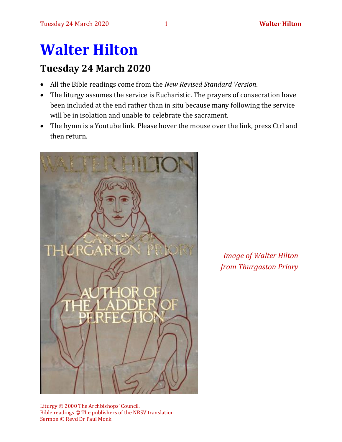# **Walter Hilton**

## **Tuesday 24 March 2020**

- All the Bible readings come from the *New Revised Standard Version*.
- The liturgy assumes the service is Eucharistic. The prayers of consecration have been included at the end rather than in situ because many following the service will be in isolation and unable to celebrate the sacrament.
- The hymn is a Youtube link. Please hover the mouse over the link, press Ctrl and then return.



*Image of Walter Hilton from Thurgaston Priory*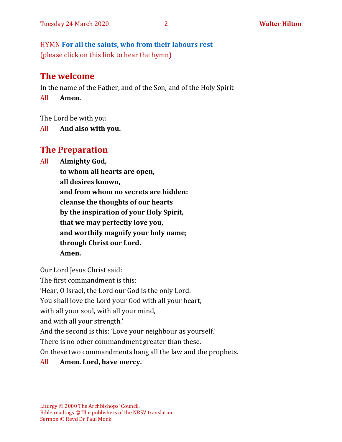HYMN **[For all the saints, who from their labours rest](https://www.youtube.com/watch?v=WbPshOGxpew)** (please click on this link to hear the hymn)

## **The welcome**

In the name of the Father, and of the Son, and of the Holy Spirit

All **Amen.**

The Lord be with you

All **And also with you.**

# **The Preparation**

All **Almighty God,**

**to whom all hearts are open, all desires known, and from whom no secrets are hidden: cleanse the thoughts of our hearts by the inspiration of your Holy Spirit, that we may perfectly love you, and worthily magnify your holy name; through Christ our Lord. Amen.**

Our Lord Jesus Christ said:

The first commandment is this:

'Hear, O Israel, the Lord our God is the only Lord.

You shall love the Lord your God with all your heart,

with all your soul, with all your mind,

and with all your strength.'

And the second is this: 'Love your neighbour as yourself.'

There is no other commandment greater than these.

On these two commandments hang all the law and the prophets.

### All **Amen. Lord, have mercy.**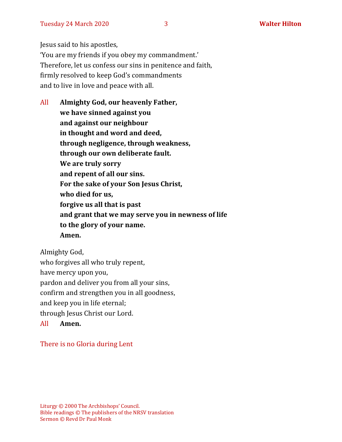Jesus said to his apostles, 'You are my friends if you obey my commandment.' Therefore, let us confess our sins in penitence and faith, firmly resolved to keep God's commandments and to live in love and peace with all.

All **Almighty God, our heavenly Father, we have sinned against you and against our neighbour in thought and word and deed, through negligence, through weakness, through our own deliberate fault. We are truly sorry and repent of all our sins. For the sake of your Son Jesus Christ, who died for us, forgive us all that is past and grant that we may serve you in newness of life to the glory of your name. Amen.**

Almighty God, who forgives all who truly repent, have mercy upon you, pardon and deliver you from all your sins, confirm and strengthen you in all goodness, and keep you in life eternal; through Jesus Christ our Lord.

All **Amen.**

There is no Gloria during Lent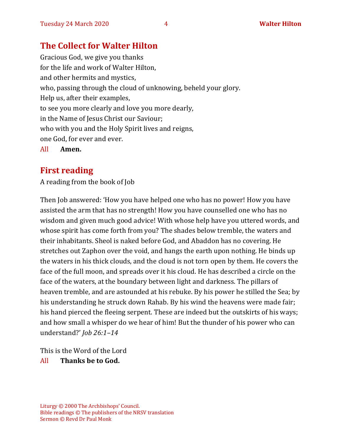## **The Collect for Walter Hilton**

Gracious God, we give you thanks for the life and work of Walter Hilton, and other hermits and mystics, who, passing through the cloud of unknowing, beheld your glory. Help us, after their examples, to see you more clearly and love you more dearly, in the Name of Jesus Christ our Saviour; who with you and the Holy Spirit lives and reigns, one God, for ever and ever. All **Amen.**

## **First reading**

A reading from the book of Job

Then Job answered: 'How you have helped one who has no power! How you have assisted the arm that has no strength! How you have counselled one who has no wisdom and given much good advice! With whose help have you uttered words, and whose spirit has come forth from you? The shades below tremble, the waters and their inhabitants. Sheol is naked before God, and Abaddon has no covering. He stretches out Zaphon over the void, and hangs the earth upon nothing. He binds up the waters in his thick clouds, and the cloud is not torn open by them. He covers the face of the full moon, and spreads over it his cloud. He has described a circle on the face of the waters, at the boundary between light and darkness. The pillars of heaven tremble, and are astounded at his rebuke. By his power he stilled the Sea; by his understanding he struck down Rahab. By his wind the heavens were made fair; his hand pierced the fleeing serpent. These are indeed but the outskirts of his ways; and how small a whisper do we hear of him! But the thunder of his power who can understand?' *Job 26:1–14*

This is the Word of the Lord All **Thanks be to God.**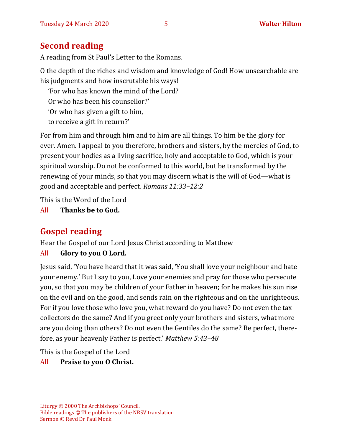## **Second reading**

A reading from St Paul's Letter to the Romans.

O the depth of the riches and wisdom and knowledge of God! How unsearchable are his judgments and how inscrutable his ways!

'For who has known the mind of the Lord?

Or who has been his counsellor?'

'Or who has given a gift to him,

to receive a gift in return?'

For from him and through him and to him are all things. To him be the glory for ever. Amen. I appeal to you therefore, brothers and sisters, by the mercies of God, to present your bodies as a living sacrifice, holy and acceptable to God, which is your spiritual worship. Do not be conformed to this world, but be transformed by the renewing of your minds, so that you may discern what is the will of God—what is good and acceptable and perfect. *Romans 11:33–12:2*

This is the Word of the Lord

All **Thanks be to God.**

## **Gospel reading**

Hear the Gospel of our Lord Jesus Christ according to Matthew

### All **Glory to you O Lord.**

Jesus said, 'You have heard that it was said, 'You shall love your neighbour and hate your enemy.' But I say to you, Love your enemies and pray for those who persecute you, so that you may be children of your Father in heaven; for he makes his sun rise on the evil and on the good, and sends rain on the righteous and on the unrighteous. For if you love those who love you, what reward do you have? Do not even the tax collectors do the same? And if you greet only your brothers and sisters, what more are you doing than others? Do not even the Gentiles do the same? Be perfect, therefore, as your heavenly Father is perfect.' *Matthew 5:43–48*

This is the Gospel of the Lord

### All **Praise to you O Christ.**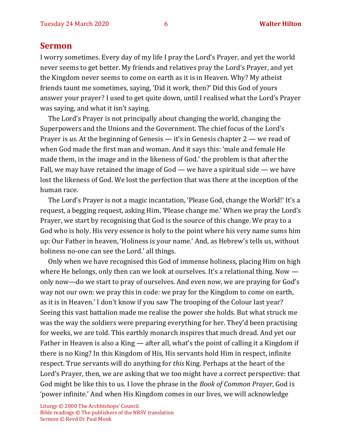#### **Sermon**

I worry sometimes. Every day of my life I pray the Lord's Prayer, and yet the world never seems to get better. My friends and relatives pray the Lord's Prayer, and yet the Kingdom never seems to come on earth as it is in Heaven. Why? My atheist friends taunt me sometimes, saying, 'Did it work, then?' Did this God of yours answer your prayer? I used to get quite down, until I realised what the Lord's Prayer was saying, and what it isn't saying.

The Lord's Prayer is not principally about changing the world, changing the Superpowers and the Unions and the Government. The chief focus of the Lord's Prayer is *us*. At the beginning of Genesis — it's in Genesis chapter 2 — we read of when God made the first man and woman. And it says this: 'male and female He made them, in the image and in the likeness of God.' the problem is that after the Fall, we may have retained the image of God — we have a spiritual side — we have lost the likeness of God. We lost the perfection that was there at the inception of the human race.

The Lord's Prayer is not a magic incantation, 'Please God, change the World!' It's a request, a begging request, asking Him, 'Please change me.' When we pray the Lord's Prayer, we start by recognising that God is the source of this change. We pray to a God who is holy. His very essence is holy to the point where his very name sums him up: Our Father in heaven, 'Holiness is your name.' And, as Hebrew's tells us, without holiness no-one can see the Lord.' all things.

Only when we have recognised this God of immense holiness, placing Him on high where He belongs, only then can we look at ourselves. It's a relational thing. Now only now—do we start to pray of ourselves. And even now, we are praying for God's way not our own: we pray this in code: we pray for the Kingdom to come on earth, as it is in Heaven.' I don't know if you saw The trooping of the Colour last year? Seeing this vast battalion made me realise the power she holds. But what struck me was the way the soldiers were preparing everything for her. They'd been practising for weeks, we are told. This earthly monarch inspires that much dread. And yet our Father in Heaven is also a King — after all, what's the point of calling it a Kingdom if there is no King? In this Kingdom of His, His servants hold Him in respect, infinite respect. True servants will do anything for *this* King. Perhaps at the heart of the Lord's Prayer, then, we are asking that we too might have a correct perspective: that God might be like this to us. I love the phrase in the *Book of Common Prayer*, God is 'power infinite.' And when His Kingdom comes in our lives, we will acknowledge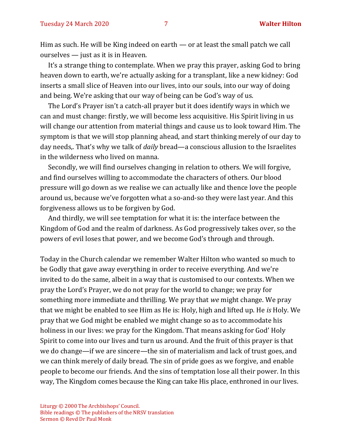Him as such. He will be King indeed on earth — or at least the small patch we call ourselves — just as it is in Heaven.

It's a strange thing to contemplate. When we pray this prayer, asking God to bring heaven down to earth, we're actually asking for a transplant, like a new kidney: God inserts a small slice of Heaven into our lives, into our souls, into our way of doing and being. We're asking that our way of being can be God's way of us.

The Lord's Prayer isn't a catch-all prayer but it does identify ways in which we can and must change: firstly, we will become less acquisitive. His Spirit living in us will change our attention from material things and cause us to look toward Him. The symptom is that we will stop planning ahead, and start thinking merely of our day to day needs,. That's why we talk of *daily* bread—a conscious allusion to the Israelites in the wilderness who lived on manna.

Secondly, we will find ourselves changing in relation to others. We will forgive, and find ourselves willing to accommodate the characters of others. Our blood pressure will go down as we realise we can actually like and thence love the people around us, because we've forgotten what a so-and-so they were last year. And this forgiveness allows us to be forgiven by God.

And thirdly, we will see temptation for what it is: the interface between the Kingdom of God and the realm of darkness. As God progressively takes over, so the powers of evil loses that power, and we become God's through and through.

Today in the Church calendar we remember Walter Hilton who wanted so much to be Godly that gave away everything in order to receive everything. And we're invited to do the same, albeit in a way that is customised to our contexts. When we pray the Lord's Prayer, we do not pray for the world to change; we pray for something more immediate and thrilling. We pray that *we* might change. We pray that we might be enabled to see Him as He is: Holy, high and lifted up. He *is* Holy. We pray that we God might be enabled we might change so as to accommodate his holiness in our lives: we pray for the Kingdom. That means asking for God' Holy Spirit to come into our lives and turn us around. And the fruit of this prayer is that we do change—if we are sincere—the sin of materialism and lack of trust goes, and we can think merely of daily bread. The sin of pride goes as we forgive, and enable people to become our friends. And the sins of temptation lose all their power. In this way, The Kingdom comes because the King can take His place, enthroned in our lives.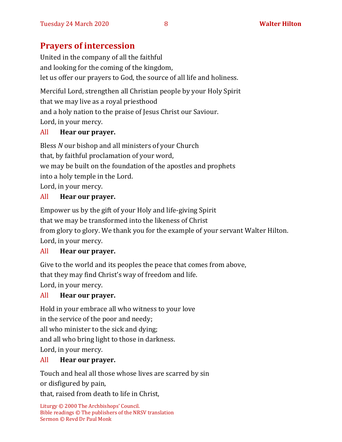## **Prayers of intercession**

United in the company of all the faithful and looking for the coming of the kingdom, let us offer our prayers to God, the source of all life and holiness.

Merciful Lord, strengthen all Christian people by your Holy Spirit that we may live as a royal priesthood and a holy nation to the praise of Jesus Christ our Saviour. Lord, in your mercy.

#### All **Hear our prayer.**

Bless *N* our bishop and all ministers of your Church that, by faithful proclamation of your word, we may be built on the foundation of the apostles and prophets into a holy temple in the Lord. Lord, in your mercy.

#### All **Hear our prayer.**

Empower us by the gift of your Holy and life-giving Spirit that we may be transformed into the likeness of Christ from glory to glory. We thank you for the example of your servant Walter Hilton. Lord, in your mercy.

### All **Hear our prayer.**

Give to the world and its peoples the peace that comes from above,

that they may find Christ's way of freedom and life.

Lord, in your mercy.

#### All **Hear our prayer.**

Hold in your embrace all who witness to your love in the service of the poor and needy; all who minister to the sick and dying; and all who bring light to those in darkness. Lord, in your mercy.

#### All **Hear our prayer.**

Touch and heal all those whose lives are scarred by sin or disfigured by pain,

that, raised from death to life in Christ,

```
Liturgy © 2000 The Archbishops' Council. 
Bible readings © The publishers of the NRSV translation
Sermon © Revd Dr Paul Monk
```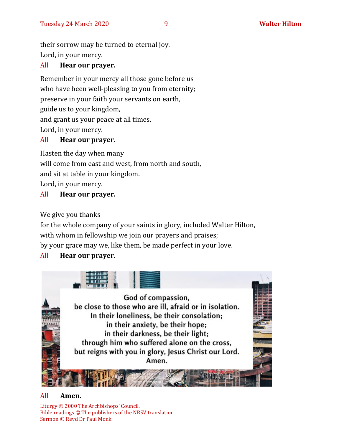their sorrow may be turned to eternal joy.

Lord, in your mercy.

#### All **Hear our prayer.**

Remember in your mercy all those gone before us who have been well-pleasing to you from eternity; preserve in your faith your servants on earth, guide us to your kingdom, and grant us your peace at all times. Lord, in your mercy.

#### All **Hear our prayer.**

Hasten the day when many

will come from east and west, from north and south,

and sit at table in your kingdom.

Lord, in your mercy.

#### All **Hear our prayer.**

We give you thanks

for the whole company of your saints in glory, included Walter Hilton, with whom in fellowship we join our prayers and praises;

by your grace may we, like them, be made perfect in your love.

#### All **Hear our prayer.**



#### All **Amen.**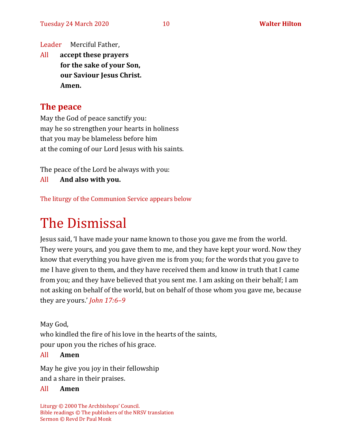Leader Merciful Father,

All **accept these prayers for the sake of your Son, our Saviour Jesus Christ. Amen.**

### **The peace**

May the God of peace sanctify you: may he so strengthen your hearts in holiness that you may be blameless before him at the coming of our Lord Jesus with his saints.

The peace of the Lord be always with you:

All **And also with you.**

The liturgy of the Communion Service appears below

# The Dismissal

Jesus said, 'I have made your name known to those you gave me from the world. They were yours, and you gave them to me, and they have kept your word. Now they know that everything you have given me is from you; for the words that you gave to me I have given to them, and they have received them and know in truth that I came from you; and they have believed that you sent me. I am asking on their behalf; I am not asking on behalf of the world, but on behalf of those whom you gave me, because they are yours.' *John 17:6–9*

May God, who kindled the fire of his love in the hearts of the saints, pour upon you the riches of his grace.

#### All **Amen**

May he give you joy in their fellowship and a share in their praises.

#### All **Amen**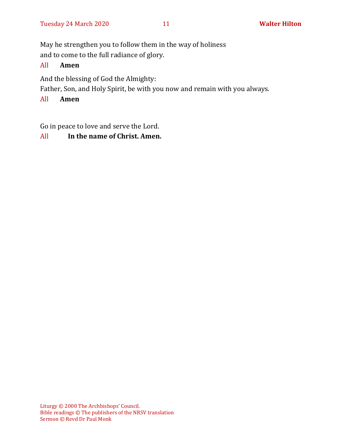May he strengthen you to follow them in the way of holiness

and to come to the full radiance of glory.

#### All **Amen**

And the blessing of God the Almighty:

Father, Son, and Holy Spirit, be with you now and remain with you always.

#### All **Amen**

Go in peace to love and serve the Lord.

### All **In the name of Christ. Amen.**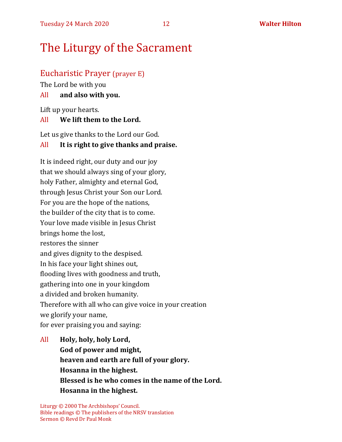# The Liturgy of the Sacrament

#### Eucharistic Prayer (prayer E)

The Lord be with you

#### All **and also with you.**

Lift up your hearts.

#### All **We lift them to the Lord.**

Let us give thanks to the Lord our God.

#### All **It is right to give thanks and praise.**

It is indeed right, our duty and our joy that we should always sing of your glory, holy Father, almighty and eternal God, through Jesus Christ your Son our Lord. For you are the hope of the nations, the builder of the city that is to come. Your love made visible in Jesus Christ brings home the lost, restores the sinner and gives dignity to the despised. In his face your light shines out, flooding lives with goodness and truth, gathering into one in your kingdom a divided and broken humanity. Therefore with all who can give voice in your creation we glorify your name, for ever praising you and saying:

All **Holy, holy, holy Lord, God of power and might, heaven and earth are full of your glory. Hosanna in the highest. Blessed is he who comes in the name of the Lord. Hosanna in the highest.**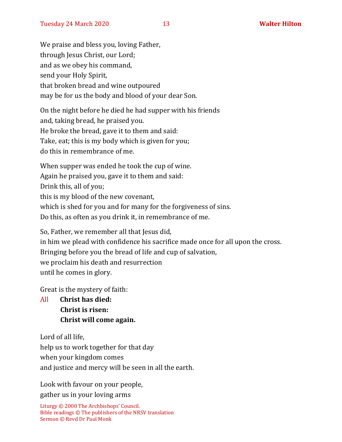We praise and bless you, loving Father, through Jesus Christ, our Lord; and as we obey his command, send your Holy Spirit, that broken bread and wine outpoured may be for us the body and blood of your dear Son.

On the night before he died he had supper with his friends and, taking bread, he praised you. He broke the bread, gave it to them and said: Take, eat; this is my body which is given for you; do this in remembrance of me.

When supper was ended he took the cup of wine. Again he praised you, gave it to them and said: Drink this, all of you; this is my blood of the new covenant, which is shed for you and for many for the forgiveness of sins. Do this, as often as you drink it, in remembrance of me.

So, Father, we remember all that Jesus did, in him we plead with confidence his sacrifice made once for all upon the cross. Bringing before you the bread of life and cup of salvation, we proclaim his death and resurrection until he comes in glory.

Great is the mystery of faith:

All **Christ has died: Christ is risen: Christ will come again.**

Lord of all life,

help us to work together for that day

when your kingdom comes

and justice and mercy will be seen in all the earth.

Look with favour on your people,

gather us in your loving arms

```
Liturgy © 2000 The Archbishops' Council. 
Bible readings © The publishers of the NRSV translation
Sermon © Revd Dr Paul Monk
```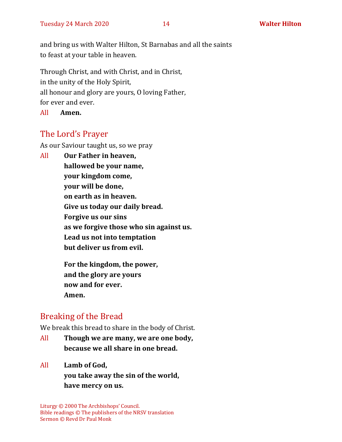and bring us with Walter Hilton, St Barnabas and all the saints to feast at your table in heaven.

Through Christ, and with Christ, and in Christ, in the unity of the Holy Spirit, all honour and glory are yours, O loving Father, for ever and ever.

All **Amen.**

## The Lord's Prayer

As our Saviour taught us, so we pray

All **Our Father in heaven, hallowed be your name, your kingdom come, your will be done, on earth as in heaven. Give us today our daily bread. Forgive us our sins as we forgive those who sin against us. Lead us not into temptation but deliver us from evil.**

> **For the kingdom, the power, and the glory are yours now and for ever. Amen.**

## Breaking of the Bread

We break this bread to share in the body of Christ.

- All **Though we are many, we are one body, because we all share in one bread.**
- All **Lamb of God,**

**you take away the sin of the world, have mercy on us.**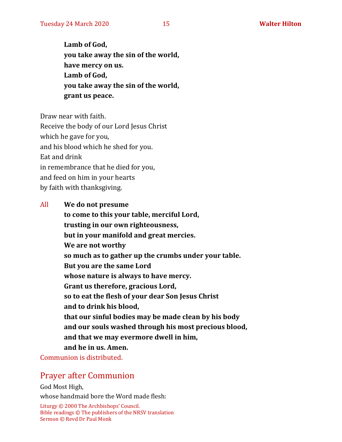**Lamb of God, you take away the sin of the world, have mercy on us. Lamb of God, you take away the sin of the world, grant us peace.**

Draw near with faith.

Receive the body of our Lord Jesus Christ

which he gave for you,

and his blood which he shed for you.

Eat and drink

in remembrance that he died for you,

and feed on him in your hearts

by faith with thanksgiving.

All **We do not presume**

**to come to this your table, merciful Lord, trusting in our own righteousness, but in your manifold and great mercies. We are not worthy so much as to gather up the crumbs under your table. But you are the same Lord whose nature is always to have mercy. Grant us therefore, gracious Lord, so to eat the flesh of your dear Son Jesus Christ and to drink his blood, that our sinful bodies may be made clean by his body and our souls washed through his most precious blood, and that we may evermore dwell in him, and he in us. Amen.**

Communion is distributed.

## Prayer after Communion

God Most High, whose handmaid bore the Word made flesh: